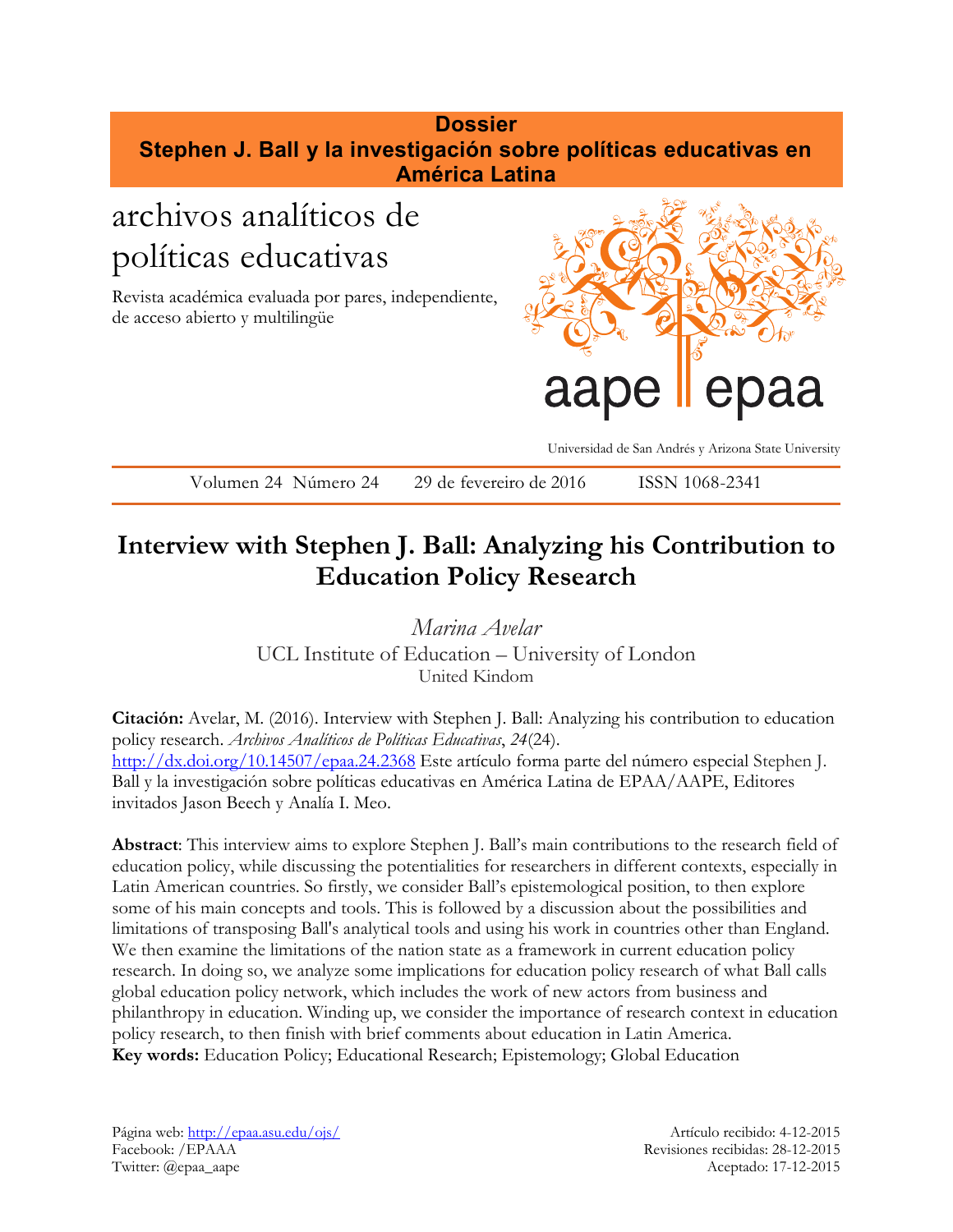# **Dossier Stephen J. Ball y la investigación sobre políticas educativas en América Latina**

# archivos analíticos de políticas educativas

Revista académica evaluada por pares, independiente, de acceso abierto y multilingüe



Universidad de San Andrés y Arizona State University

Volumen 24 Número 24 29 de fevereiro de 2016 ISSN 1068-2341

# **Interview with Stephen J. Ball: Analyzing his Contribution to Education Policy Research**

*Marina Avelar* UCL Institute of Education – University of London United Kindom

**Citación:** Avelar, M. (2016). Interview with Stephen J. Ball: Analyzing his contribution to education policy research. *Archivos Analíticos de Políticas Educativas*, *24*(24). <http://dx.doi.org/10.14507/epaa.24.2368> Este artículo forma parte del número especial Stephen J. Ball y la investigación sobre políticas educativas en América Latina de EPAA/AAPE, Editores invitados Jason Beech y Analía I. Meo.

**Abstract**: This interview aims to explore Stephen J. Ball's main contributions to the research field of education policy, while discussing the potentialities for researchers in different contexts, especially in Latin American countries. So firstly, we consider Ball's epistemological position, to then explore some of his main concepts and tools. This is followed by a discussion about the possibilities and limitations of transposing Ball's analytical tools and using his work in countries other than England. We then examine the limitations of the nation state as a framework in current education policy research. In doing so, we analyze some implications for education policy research of what Ball calls global education policy network, which includes the work of new actors from business and philanthropy in education. Winding up, we consider the importance of research context in education policy research, to then finish with brief comments about education in Latin America. **Key words:** Education Policy; Educational Research; Epistemology; Global Education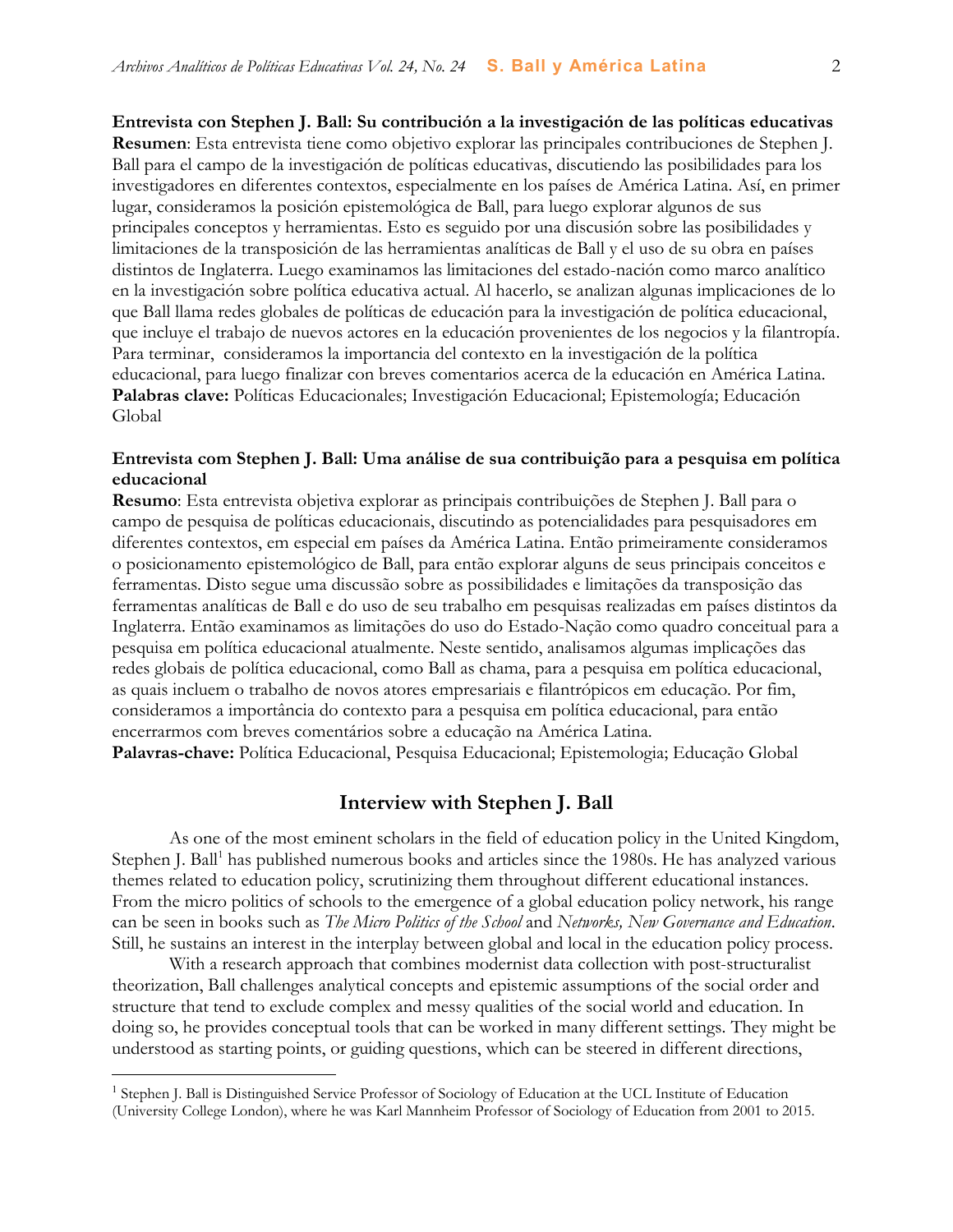**Entrevista con Stephen J. Ball: Su contribución a la investigación de las políticas educativas Resumen**: Esta entrevista tiene como objetivo explorar las principales contribuciones de Stephen J. Ball para el campo de la investigación de políticas educativas, discutiendo las posibilidades para los investigadores en diferentes contextos, especialmente en los países de América Latina. Así, en primer lugar, consideramos la posición epistemológica de Ball, para luego explorar algunos de sus principales conceptos y herramientas. Esto es seguido por una discusión sobre las posibilidades y limitaciones de la transposición de las herramientas analíticas de Ball y el uso de su obra en países distintos de Inglaterra. Luego examinamos las limitaciones del estado-nación como marco analítico en la investigación sobre política educativa actual. Al hacerlo, se analizan algunas implicaciones de lo

que Ball llama redes globales de políticas de educación para la investigación de política educacional, que incluye el trabajo de nuevos actores en la educación provenientes de los negocios y la filantropía. Para terminar, consideramos la importancia del contexto en la investigación de la política educacional, para luego finalizar con breves comentarios acerca de la educación en América Latina. **Palabras clave:** Políticas Educacionales; Investigación Educacional; Epistemología; Educación Global

#### **Entrevista com Stephen J. Ball: Uma análise de sua contribuição para a pesquisa em política educacional**

**Resumo**: Esta entrevista objetiva explorar as principais contribuições de Stephen J. Ball para o campo de pesquisa de políticas educacionais, discutindo as potencialidades para pesquisadores em diferentes contextos, em especial em países da América Latina. Então primeiramente consideramos o posicionamento epistemológico de Ball, para então explorar alguns de seus principais conceitos e ferramentas. Disto segue uma discussão sobre as possibilidades e limitações da transposição das ferramentas analíticas de Ball e do uso de seu trabalho em pesquisas realizadas em países distintos da Inglaterra. Então examinamos as limitações do uso do Estado-Nação como quadro conceitual para a pesquisa em política educacional atualmente. Neste sentido, analisamos algumas implicações das redes globais de política educacional, como Ball as chama, para a pesquisa em política educacional, as quais incluem o trabalho de novos atores empresariais e filantrópicos em educação. Por fim, consideramos a importância do contexto para a pesquisa em política educacional, para então encerrarmos com breves comentários sobre a educação na América Latina.

**Palavras-chave:** Política Educacional, Pesquisa Educacional; Epistemologia; Educação Global

#### **Interview with Stephen J. Ball**

As one of the most eminent scholars in the field of education policy in the United Kingdom, Stephen J. Ball<sup>1</sup> has published numerous books and articles since the 1980s. He has analyzed various themes related to education policy, scrutinizing them throughout different educational instances. From the micro politics of schools to the emergence of a global education policy network, his range can be seen in books such as *The Micro Politics of the School* and *Networks, New Governance and Education*. Still, he sustains an interest in the interplay between global and local in the education policy process.

With a research approach that combines modernist data collection with post-structuralist theorization, Ball challenges analytical concepts and epistemic assumptions of the social order and structure that tend to exclude complex and messy qualities of the social world and education. In doing so, he provides conceptual tools that can be worked in many different settings. They might be understood as starting points, or guiding questions, which can be steered in different directions,

<sup>&</sup>lt;sup>1</sup> Stephen J. Ball is Distinguished Service Professor of Sociology of Education at the UCL Institute of Education (University College London), where he was Karl Mannheim Professor of Sociology of Education from 2001 to 2015.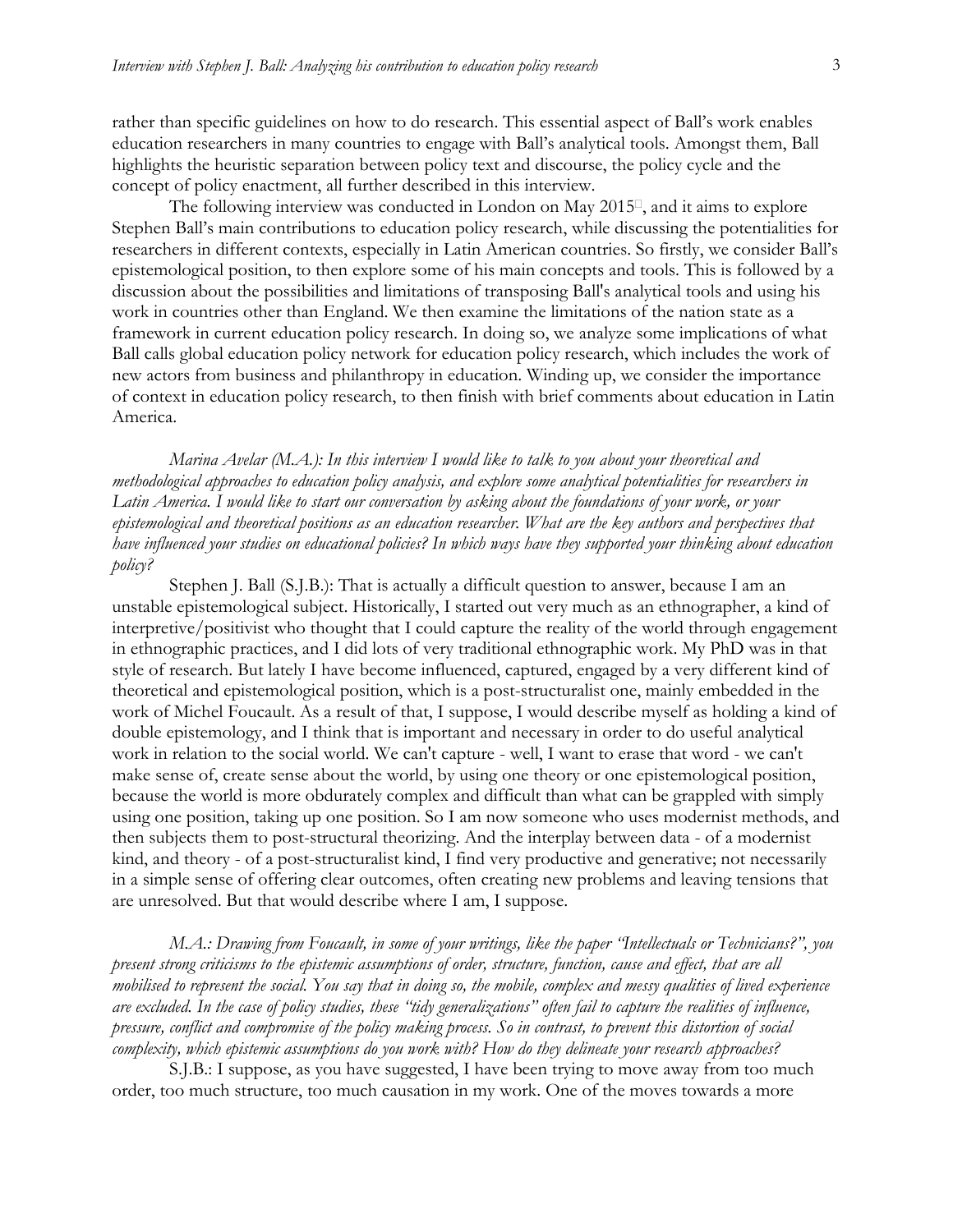rather than specific guidelines on how to do research. This essential aspect of Ball's work enables education researchers in many countries to engage with Ball's analytical tools. Amongst them, Ball highlights the heuristic separation between policy text and discourse, the policy cycle and the concept of policy enactment, all further described in this interview.

The following interview was conducted in London on May  $2015<sup>\text{D}</sup>$ , and it aims to explore Stephen Ball's main contributions to education policy research, while discussing the potentialities for researchers in different contexts, especially in Latin American countries. So firstly, we consider Ball's epistemological position, to then explore some of his main concepts and tools. This is followed by a discussion about the possibilities and limitations of transposing Ball's analytical tools and using his work in countries other than England. We then examine the limitations of the nation state as a framework in current education policy research. In doing so, we analyze some implications of what Ball calls global education policy network for education policy research, which includes the work of new actors from business and philanthropy in education. Winding up, we consider the importance of context in education policy research, to then finish with brief comments about education in Latin America.

*Marina Avelar (M.A.): In this interview I would like to talk to you about your theoretical and methodological approaches to education policy analysis, and explore some analytical potentialities for researchers in Latin America. I would like to start our conversation by asking about the foundations of your work, or your epistemological and theoretical positions as an education researcher. What are the key authors and perspectives that have influenced your studies on educational policies? In which ways have they supported your thinking about education policy?*

Stephen J. Ball (S.J.B.): That is actually a difficult question to answer, because I am an unstable epistemological subject. Historically, I started out very much as an ethnographer, a kind of interpretive/positivist who thought that I could capture the reality of the world through engagement in ethnographic practices, and I did lots of very traditional ethnographic work. My PhD was in that style of research. But lately I have become influenced, captured, engaged by a very different kind of theoretical and epistemological position, which is a post-structuralist one, mainly embedded in the work of Michel Foucault. As a result of that, I suppose, I would describe myself as holding a kind of double epistemology, and I think that is important and necessary in order to do useful analytical work in relation to the social world. We can't capture - well, I want to erase that word - we can't make sense of, create sense about the world, by using one theory or one epistemological position, because the world is more obdurately complex and difficult than what can be grappled with simply using one position, taking up one position. So I am now someone who uses modernist methods, and then subjects them to post-structural theorizing. And the interplay between data - of a modernist kind, and theory - of a post-structuralist kind, I find very productive and generative; not necessarily in a simple sense of offering clear outcomes, often creating new problems and leaving tensions that are unresolved. But that would describe where I am, I suppose.

*M.A.: Drawing from Foucault, in some of your writings, like the paper "Intellectuals or Technicians?", you present strong criticisms to the epistemic assumptions of order, structure, function, cause and effect, that are all mobilised to represent the social. You say that in doing so, the mobile, complex and messy qualities of lived experience are excluded. In the case of policy studies, these "tidy generalizations" often fail to capture the realities of influence, pressure, conflict and compromise of the policy making process. So in contrast, to prevent this distortion of social complexity, which epistemic assumptions do you work with? How do they delineate your research approaches?*

S.J.B.: I suppose, as you have suggested, I have been trying to move away from too much order, too much structure, too much causation in my work. One of the moves towards a more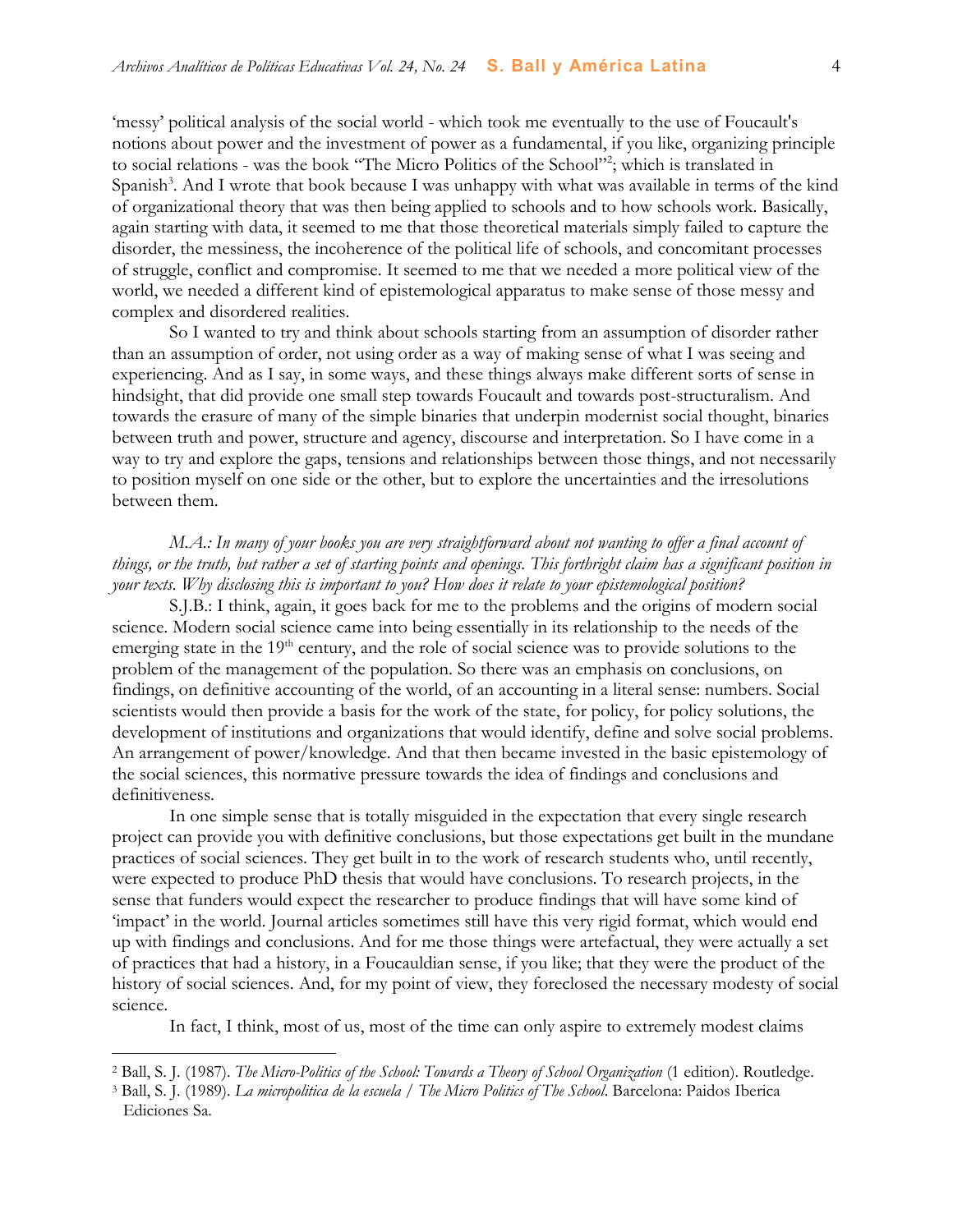'messy' political analysis of the social world - which took me eventually to the use of Foucault's notions about power and the investment of power as a fundamental, if you like, organizing principle to social relations - was the book "The Micro Politics of the School"<sup>2</sup>; which is translated in Spanish<sup>3</sup>. And I wrote that book because I was unhappy with what was available in terms of the kind of organizational theory that was then being applied to schools and to how schools work. Basically, again starting with data, it seemed to me that those theoretical materials simply failed to capture the disorder, the messiness, the incoherence of the political life of schools, and concomitant processes of struggle, conflict and compromise. It seemed to me that we needed a more political view of the world, we needed a different kind of epistemological apparatus to make sense of those messy and complex and disordered realities.

So I wanted to try and think about schools starting from an assumption of disorder rather than an assumption of order, not using order as a way of making sense of what I was seeing and experiencing. And as I say, in some ways, and these things always make different sorts of sense in hindsight, that did provide one small step towards Foucault and towards post-structuralism. And towards the erasure of many of the simple binaries that underpin modernist social thought, binaries between truth and power, structure and agency, discourse and interpretation. So I have come in a way to try and explore the gaps, tensions and relationships between those things, and not necessarily to position myself on one side or the other, but to explore the uncertainties and the irresolutions between them.

## *M.A.: In many of your books you are very straightforward about not wanting to offer a final account of things, or the truth, but rather a set of starting points and openings. This forthright claim has a significant position in your texts. Why disclosing this is important to you? How does it relate to your epistemological position?*

S.J.B.: I think, again, it goes back for me to the problems and the origins of modern social science. Modern social science came into being essentially in its relationship to the needs of the emerging state in the 19<sup>th</sup> century, and the role of social science was to provide solutions to the problem of the management of the population. So there was an emphasis on conclusions, on findings, on definitive accounting of the world, of an accounting in a literal sense: numbers. Social scientists would then provide a basis for the work of the state, for policy, for policy solutions, the development of institutions and organizations that would identify, define and solve social problems. An arrangement of power/knowledge. And that then became invested in the basic epistemology of the social sciences, this normative pressure towards the idea of findings and conclusions and definitiveness.

In one simple sense that is totally misguided in the expectation that every single research project can provide you with definitive conclusions, but those expectations get built in the mundane practices of social sciences. They get built in to the work of research students who, until recently, were expected to produce PhD thesis that would have conclusions. To research projects, in the sense that funders would expect the researcher to produce findings that will have some kind of 'impact' in the world. Journal articles sometimes still have this very rigid format, which would end up with findings and conclusions. And for me those things were artefactual, they were actually a set of practices that had a history, in a Foucauldian sense, if you like; that they were the product of the history of social sciences. And, for my point of view, they foreclosed the necessary modesty of social science.

In fact, I think, most of us, most of the time can only aspire to extremely modest claims

<sup>2</sup> Ball, S. J. (1987). *The Micro-Politics of the School: Towards a Theory of School Organization* (1 edition). Routledge.

<sup>3</sup> Ball, S. J. (1989). *La micropolitica de la escuela / The Micro Politics of The School*. Barcelona: Paidos Iberica Ediciones Sa.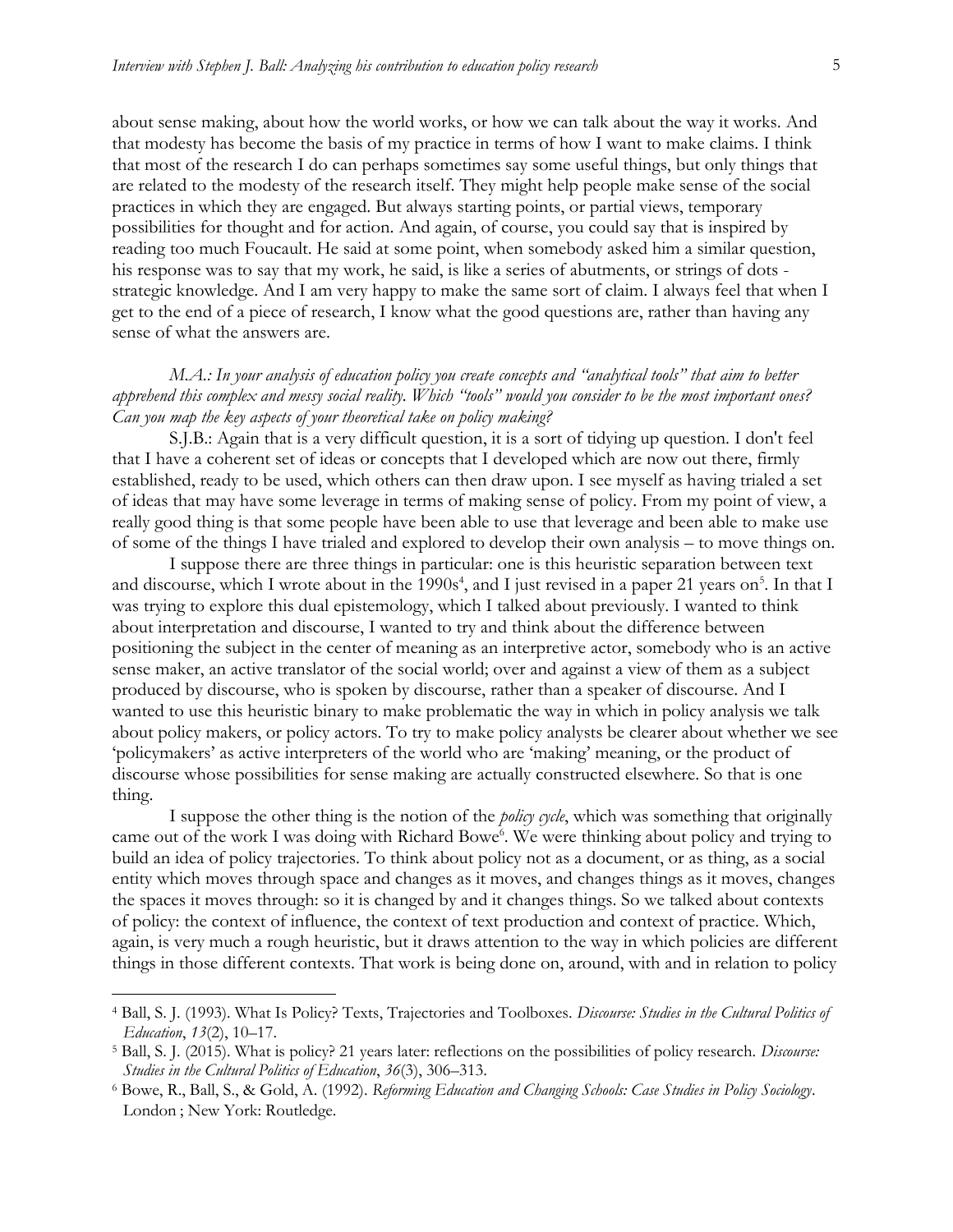about sense making, about how the world works, or how we can talk about the way it works. And that modesty has become the basis of my practice in terms of how I want to make claims. I think that most of the research I do can perhaps sometimes say some useful things, but only things that are related to the modesty of the research itself. They might help people make sense of the social practices in which they are engaged. But always starting points, or partial views, temporary possibilities for thought and for action. And again, of course, you could say that is inspired by reading too much Foucault. He said at some point, when somebody asked him a similar question, his response was to say that my work, he said, is like a series of abutments, or strings of dots strategic knowledge. And I am very happy to make the same sort of claim. I always feel that when I get to the end of a piece of research, I know what the good questions are, rather than having any sense of what the answers are.

*M.A.: In your analysis of education policy you create concepts and "analytical tools" that aim to better apprehend this complex and messy social reality. Which "tools" would you consider to be the most important ones? Can you map the key aspects of your theoretical take on policy making?*

S.J.B.: Again that is a very difficult question, it is a sort of tidying up question. I don't feel that I have a coherent set of ideas or concepts that I developed which are now out there, firmly established, ready to be used, which others can then draw upon. I see myself as having trialed a set of ideas that may have some leverage in terms of making sense of policy. From my point of view, a really good thing is that some people have been able to use that leverage and been able to make use of some of the things I have trialed and explored to develop their own analysis – to move things on.

I suppose there are three things in particular: one is this heuristic separation between text and discourse, which I wrote about in the 1990s<sup>4</sup>, and I just revised in a paper 21 years on<sup>5</sup>. In that I was trying to explore this dual epistemology, which I talked about previously. I wanted to think about interpretation and discourse, I wanted to try and think about the difference between positioning the subject in the center of meaning as an interpretive actor, somebody who is an active sense maker, an active translator of the social world; over and against a view of them as a subject produced by discourse, who is spoken by discourse, rather than a speaker of discourse. And I wanted to use this heuristic binary to make problematic the way in which in policy analysis we talk about policy makers, or policy actors. To try to make policy analysts be clearer about whether we see 'policymakers' as active interpreters of the world who are 'making' meaning, or the product of discourse whose possibilities for sense making are actually constructed elsewhere. So that is one thing.

I suppose the other thing is the notion of the *policy cycle*, which was something that originally came out of the work I was doing with Richard Bowe<sup>6</sup>. We were thinking about policy and trying to build an idea of policy trajectories. To think about policy not as a document, or as thing, as a social entity which moves through space and changes as it moves, and changes things as it moves, changes the spaces it moves through: so it is changed by and it changes things. So we talked about contexts of policy: the context of influence, the context of text production and context of practice. Which, again, is very much a rough heuristic, but it draws attention to the way in which policies are different things in those different contexts. That work is being done on, around, with and in relation to policy

<sup>4</sup> Ball, S. J. (1993). What Is Policy? Texts, Trajectories and Toolboxes. *Discourse: Studies in the Cultural Politics of Education*, *13*(2), 10–17.

<sup>5</sup> Ball, S. J. (2015). What is policy? 21 years later: reflections on the possibilities of policy research. *Discourse: Studies in the Cultural Politics of Education*, *36*(3), 306–313.

<sup>6</sup> Bowe, R., Ball, S., & Gold, A. (1992). *Reforming Education and Changing Schools: Case Studies in Policy Sociology*. London ; New York: Routledge.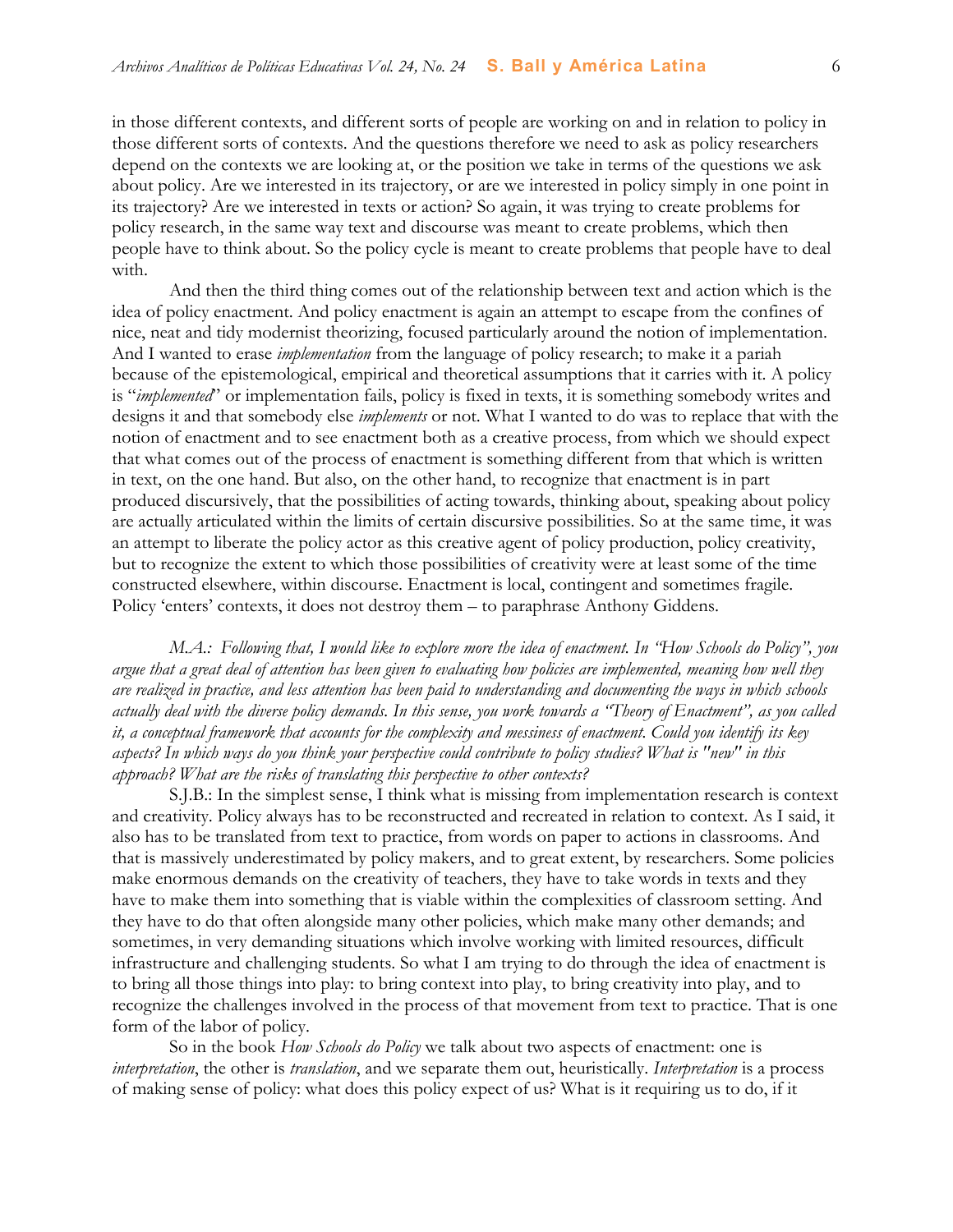in those different contexts, and different sorts of people are working on and in relation to policy in those different sorts of contexts. And the questions therefore we need to ask as policy researchers depend on the contexts we are looking at, or the position we take in terms of the questions we ask about policy. Are we interested in its trajectory, or are we interested in policy simply in one point in its trajectory? Are we interested in texts or action? So again, it was trying to create problems for policy research, in the same way text and discourse was meant to create problems, which then people have to think about. So the policy cycle is meant to create problems that people have to deal with.

And then the third thing comes out of the relationship between text and action which is the idea of policy enactment. And policy enactment is again an attempt to escape from the confines of nice, neat and tidy modernist theorizing, focused particularly around the notion of implementation. And I wanted to erase *implementation* from the language of policy research; to make it a pariah because of the epistemological, empirical and theoretical assumptions that it carries with it. A policy is "*implemented*" or implementation fails, policy is fixed in texts, it is something somebody writes and designs it and that somebody else *implements* or not. What I wanted to do was to replace that with the notion of enactment and to see enactment both as a creative process, from which we should expect that what comes out of the process of enactment is something different from that which is written in text, on the one hand. But also, on the other hand, to recognize that enactment is in part produced discursively, that the possibilities of acting towards, thinking about, speaking about policy are actually articulated within the limits of certain discursive possibilities. So at the same time, it was an attempt to liberate the policy actor as this creative agent of policy production, policy creativity, but to recognize the extent to which those possibilities of creativity were at least some of the time constructed elsewhere, within discourse. Enactment is local, contingent and sometimes fragile. Policy 'enters' contexts, it does not destroy them – to paraphrase Anthony Giddens.

*M.A.: Following that, I would like to explore more the idea of enactment. In "How Schools do Policy", you argue that a great deal of attention has been given to evaluating how policies are implemented, meaning how well they are realized in practice, and less attention has been paid to understanding and documenting the ways in which schools actually deal with the diverse policy demands. In this sense, you work towards a "Theory of Enactment", as you called it, a conceptual framework that accounts for the complexity and messiness of enactment. Could you identify its key aspects? In which ways do you think your perspective could contribute to policy studies? What is "new" in this approach? What are the risks of translating this perspective to other contexts?*

S.J.B.: In the simplest sense, I think what is missing from implementation research is context and creativity. Policy always has to be reconstructed and recreated in relation to context. As I said, it also has to be translated from text to practice, from words on paper to actions in classrooms. And that is massively underestimated by policy makers, and to great extent, by researchers. Some policies make enormous demands on the creativity of teachers, they have to take words in texts and they have to make them into something that is viable within the complexities of classroom setting. And they have to do that often alongside many other policies, which make many other demands; and sometimes, in very demanding situations which involve working with limited resources, difficult infrastructure and challenging students. So what I am trying to do through the idea of enactment is to bring all those things into play: to bring context into play, to bring creativity into play, and to recognize the challenges involved in the process of that movement from text to practice. That is one form of the labor of policy.

So in the book *How Schools do Policy* we talk about two aspects of enactment: one is *interpretation*, the other is *translation*, and we separate them out, heuristically. *Interpretation* is a process of making sense of policy: what does this policy expect of us? What is it requiring us to do, if it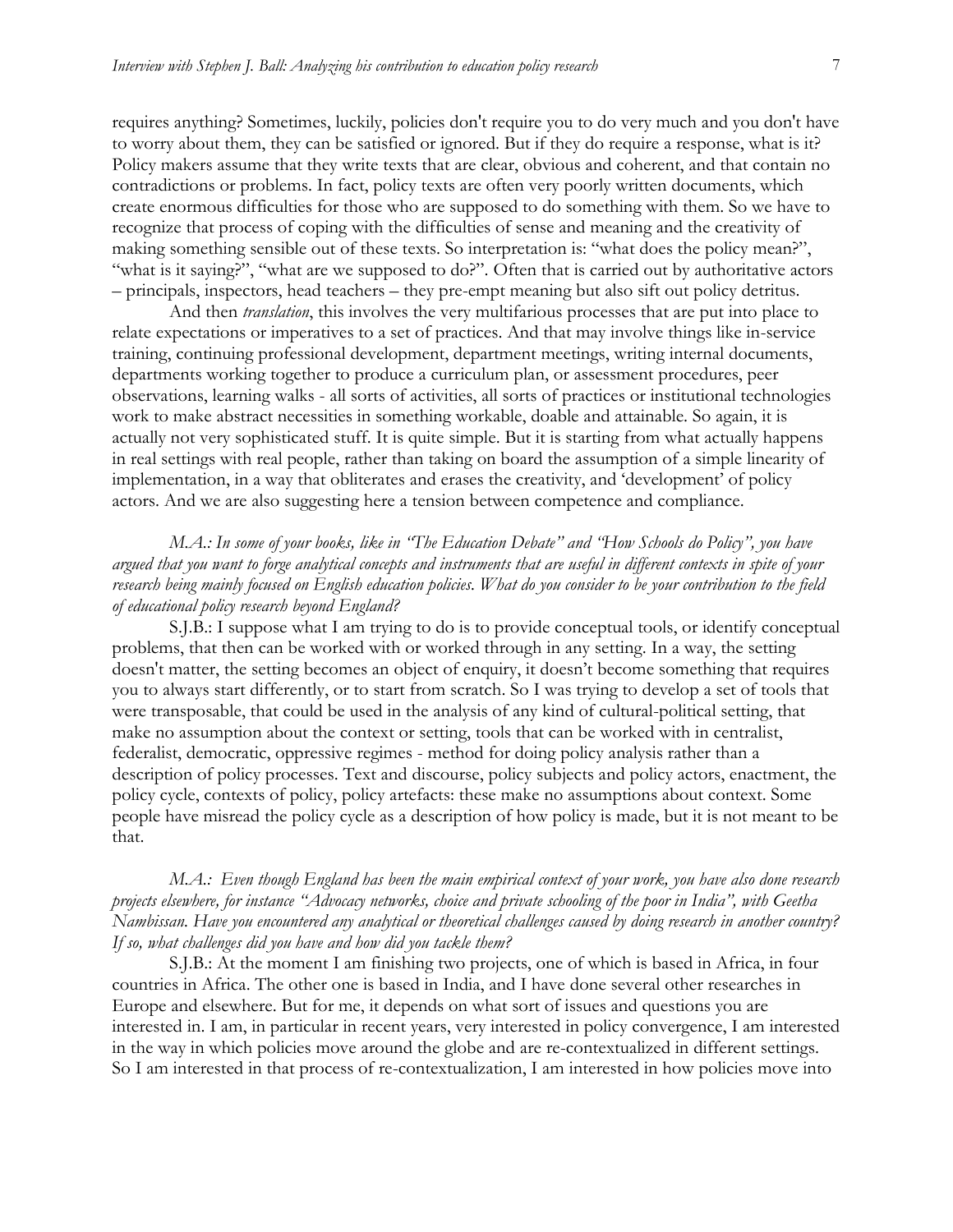requires anything? Sometimes, luckily, policies don't require you to do very much and you don't have to worry about them, they can be satisfied or ignored. But if they do require a response, what is it? Policy makers assume that they write texts that are clear, obvious and coherent, and that contain no contradictions or problems. In fact, policy texts are often very poorly written documents, which create enormous difficulties for those who are supposed to do something with them. So we have to recognize that process of coping with the difficulties of sense and meaning and the creativity of making something sensible out of these texts. So interpretation is: "what does the policy mean?", "what is it saying?", "what are we supposed to do?". Often that is carried out by authoritative actors – principals, inspectors, head teachers – they pre-empt meaning but also sift out policy detritus.

And then *translation*, this involves the very multifarious processes that are put into place to relate expectations or imperatives to a set of practices. And that may involve things like in-service training, continuing professional development, department meetings, writing internal documents, departments working together to produce a curriculum plan, or assessment procedures, peer observations, learning walks - all sorts of activities, all sorts of practices or institutional technologies work to make abstract necessities in something workable, doable and attainable. So again, it is actually not very sophisticated stuff. It is quite simple. But it is starting from what actually happens in real settings with real people, rather than taking on board the assumption of a simple linearity of implementation, in a way that obliterates and erases the creativity, and 'development' of policy actors. And we are also suggesting here a tension between competence and compliance.

## *M.A.: In some of your books, like in "The Education Debate" and "How Schools do Policy", you have argued that you want to forge analytical concepts and instruments that are useful in different contexts in spite of your research being mainly focused on English education policies. What do you consider to be your contribution to the field of educational policy research beyond England?*

S.J.B.: I suppose what I am trying to do is to provide conceptual tools, or identify conceptual problems, that then can be worked with or worked through in any setting. In a way, the setting doesn't matter, the setting becomes an object of enquiry, it doesn't become something that requires you to always start differently, or to start from scratch. So I was trying to develop a set of tools that were transposable, that could be used in the analysis of any kind of cultural-political setting, that make no assumption about the context or setting, tools that can be worked with in centralist, federalist, democratic, oppressive regimes - method for doing policy analysis rather than a description of policy processes. Text and discourse, policy subjects and policy actors, enactment, the policy cycle, contexts of policy, policy artefacts: these make no assumptions about context. Some people have misread the policy cycle as a description of how policy is made, but it is not meant to be that.

#### *M.A.: Even though England has been the main empirical context of your work, you have also done research projects elsewhere, for instance "Advocacy networks, choice and private schooling of the poor in India", with Geetha Nambissan. Have you encountered any analytical or theoretical challenges caused by doing research in another country? If so, what challenges did you have and how did you tackle them?*

S.J.B.: At the moment I am finishing two projects, one of which is based in Africa, in four countries in Africa. The other one is based in India, and I have done several other researches in Europe and elsewhere. But for me, it depends on what sort of issues and questions you are interested in. I am, in particular in recent years, very interested in policy convergence, I am interested in the way in which policies move around the globe and are re-contextualized in different settings. So I am interested in that process of re-contextualization, I am interested in how policies move into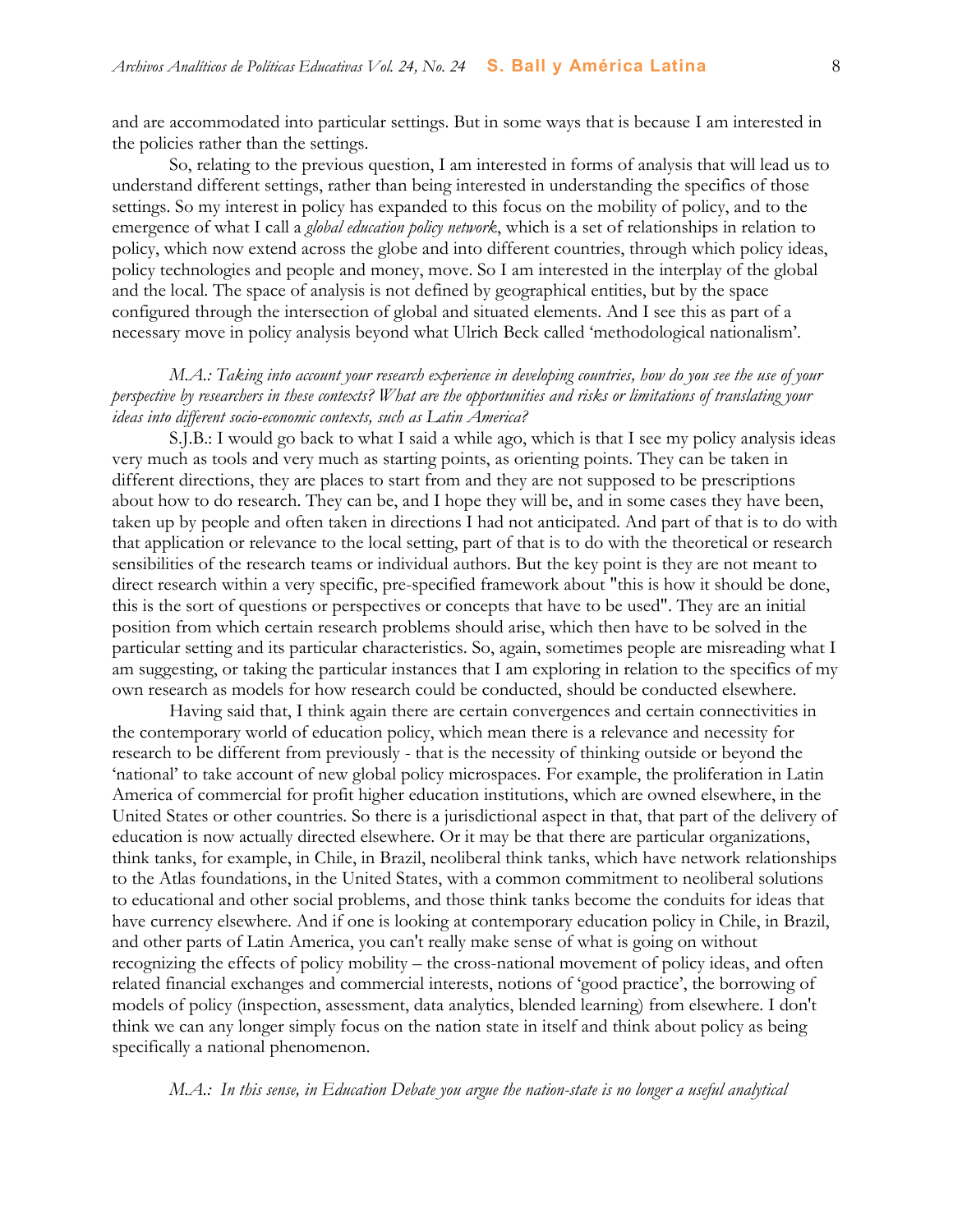and are accommodated into particular settings. But in some ways that is because I am interested in the policies rather than the settings.

So, relating to the previous question, I am interested in forms of analysis that will lead us to understand different settings, rather than being interested in understanding the specifics of those settings. So my interest in policy has expanded to this focus on the mobility of policy, and to the emergence of what I call a *global education policy network*, which is a set of relationships in relation to policy, which now extend across the globe and into different countries, through which policy ideas, policy technologies and people and money, move. So I am interested in the interplay of the global and the local. The space of analysis is not defined by geographical entities, but by the space configured through the intersection of global and situated elements. And I see this as part of a necessary move in policy analysis beyond what Ulrich Beck called 'methodological nationalism'.

## *M.A.: Taking into account your research experience in developing countries, how do you see the use of your perspective by researchers in these contexts? What are the opportunities and risks or limitations of translating your ideas into different socio-economic contexts, such as Latin America?*

S.J.B.: I would go back to what I said a while ago, which is that I see my policy analysis ideas very much as tools and very much as starting points, as orienting points. They can be taken in different directions, they are places to start from and they are not supposed to be prescriptions about how to do research. They can be, and I hope they will be, and in some cases they have been, taken up by people and often taken in directions I had not anticipated. And part of that is to do with that application or relevance to the local setting, part of that is to do with the theoretical or research sensibilities of the research teams or individual authors. But the key point is they are not meant to direct research within a very specific, pre-specified framework about "this is how it should be done, this is the sort of questions or perspectives or concepts that have to be used". They are an initial position from which certain research problems should arise, which then have to be solved in the particular setting and its particular characteristics. So, again, sometimes people are misreading what I am suggesting, or taking the particular instances that I am exploring in relation to the specifics of my own research as models for how research could be conducted, should be conducted elsewhere.

Having said that, I think again there are certain convergences and certain connectivities in the contemporary world of education policy, which mean there is a relevance and necessity for research to be different from previously - that is the necessity of thinking outside or beyond the 'national' to take account of new global policy microspaces. For example, the proliferation in Latin America of commercial for profit higher education institutions, which are owned elsewhere, in the United States or other countries. So there is a jurisdictional aspect in that, that part of the delivery of education is now actually directed elsewhere. Or it may be that there are particular organizations, think tanks, for example, in Chile, in Brazil, neoliberal think tanks, which have network relationships to the Atlas foundations, in the United States, with a common commitment to neoliberal solutions to educational and other social problems, and those think tanks become the conduits for ideas that have currency elsewhere. And if one is looking at contemporary education policy in Chile, in Brazil, and other parts of Latin America, you can't really make sense of what is going on without recognizing the effects of policy mobility – the cross-national movement of policy ideas, and often related financial exchanges and commercial interests, notions of 'good practice', the borrowing of models of policy (inspection, assessment, data analytics, blended learning) from elsewhere. I don't think we can any longer simply focus on the nation state in itself and think about policy as being specifically a national phenomenon.

#### *M.A.: In this sense, in Education Debate you argue the nation-state is no longer a useful analytical*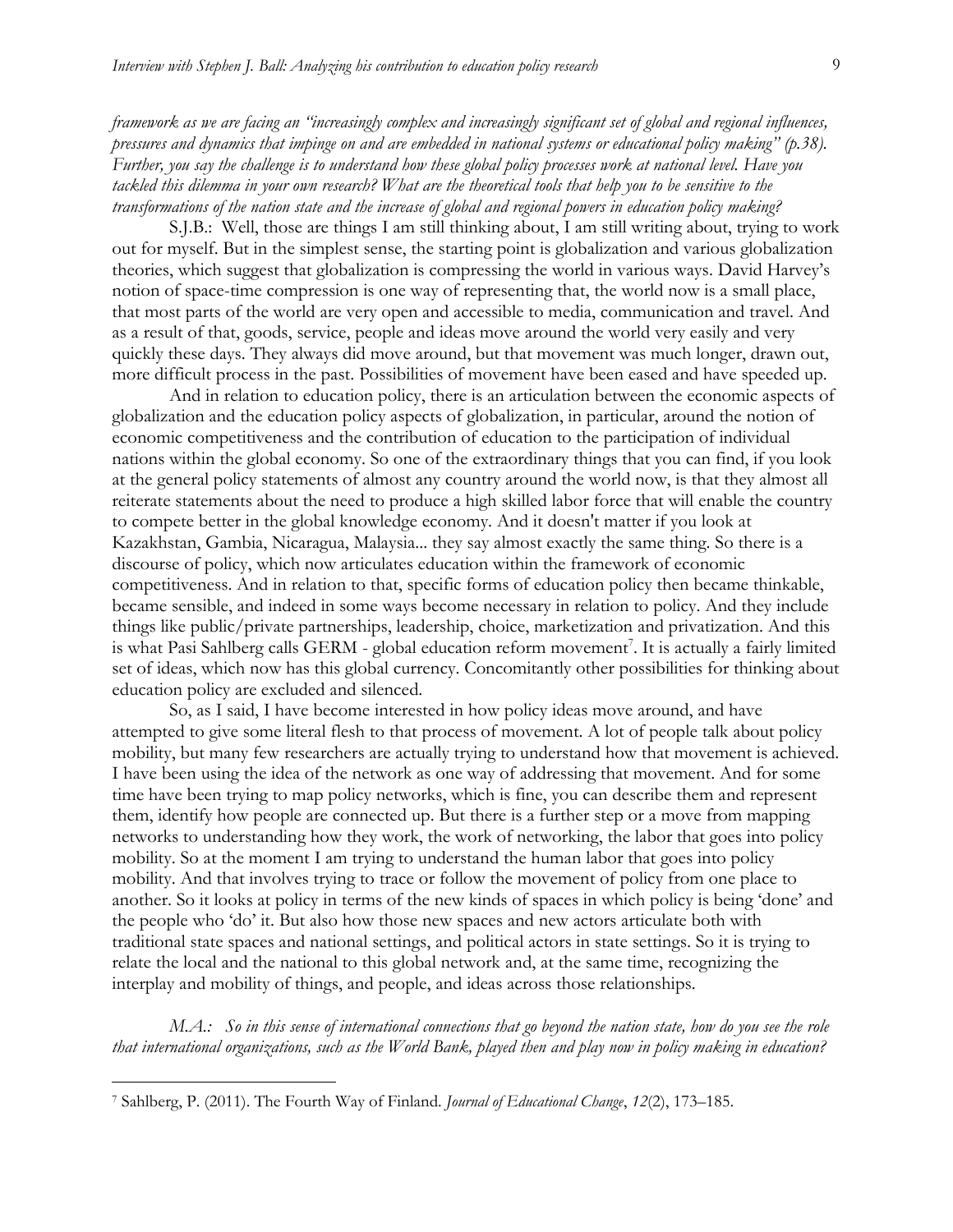*framework as we are facing an "increasingly complex and increasingly significant set of global and regional influences, pressures and dynamics that impinge on and are embedded in national systems or educational policy making" (p.38). Further, you say the challenge is to understand how these global policy processes work at national level. Have you tackled this dilemma in your own research? What are the theoretical tools that help you to be sensitive to the transformations of the nation state and the increase of global and regional powers in education policy making?* 

S.J.B.: Well, those are things I am still thinking about, I am still writing about, trying to work out for myself. But in the simplest sense, the starting point is globalization and various globalization theories, which suggest that globalization is compressing the world in various ways. David Harvey's notion of space-time compression is one way of representing that, the world now is a small place, that most parts of the world are very open and accessible to media, communication and travel. And as a result of that, goods, service, people and ideas move around the world very easily and very quickly these days. They always did move around, but that movement was much longer, drawn out, more difficult process in the past. Possibilities of movement have been eased and have speeded up.

And in relation to education policy, there is an articulation between the economic aspects of globalization and the education policy aspects of globalization, in particular, around the notion of economic competitiveness and the contribution of education to the participation of individual nations within the global economy. So one of the extraordinary things that you can find, if you look at the general policy statements of almost any country around the world now, is that they almost all reiterate statements about the need to produce a high skilled labor force that will enable the country to compete better in the global knowledge economy. And it doesn't matter if you look at Kazakhstan, Gambia, Nicaragua, Malaysia... they say almost exactly the same thing. So there is a discourse of policy, which now articulates education within the framework of economic competitiveness. And in relation to that, specific forms of education policy then became thinkable, became sensible, and indeed in some ways become necessary in relation to policy. And they include things like public/private partnerships, leadership, choice, marketization and privatization. And this is what Pasi Sahlberg calls GERM - global education reform movement<sup>7</sup>. It is actually a fairly limited set of ideas, which now has this global currency. Concomitantly other possibilities for thinking about education policy are excluded and silenced.

So, as I said, I have become interested in how policy ideas move around, and have attempted to give some literal flesh to that process of movement. A lot of people talk about policy mobility, but many few researchers are actually trying to understand how that movement is achieved. I have been using the idea of the network as one way of addressing that movement. And for some time have been trying to map policy networks, which is fine, you can describe them and represent them, identify how people are connected up. But there is a further step or a move from mapping networks to understanding how they work, the work of networking, the labor that goes into policy mobility. So at the moment I am trying to understand the human labor that goes into policy mobility. And that involves trying to trace or follow the movement of policy from one place to another. So it looks at policy in terms of the new kinds of spaces in which policy is being 'done' and the people who 'do' it. But also how those new spaces and new actors articulate both with traditional state spaces and national settings, and political actors in state settings. So it is trying to relate the local and the national to this global network and, at the same time, recognizing the interplay and mobility of things, and people, and ideas across those relationships.

*M.A.: So in this sense of international connections that go beyond the nation state, how do you see the role that international organizations, such as the World Bank, played then and play now in policy making in education?*

<sup>7</sup> Sahlberg, P. (2011). The Fourth Way of Finland. *Journal of Educational Change*, *12*(2), 173–185.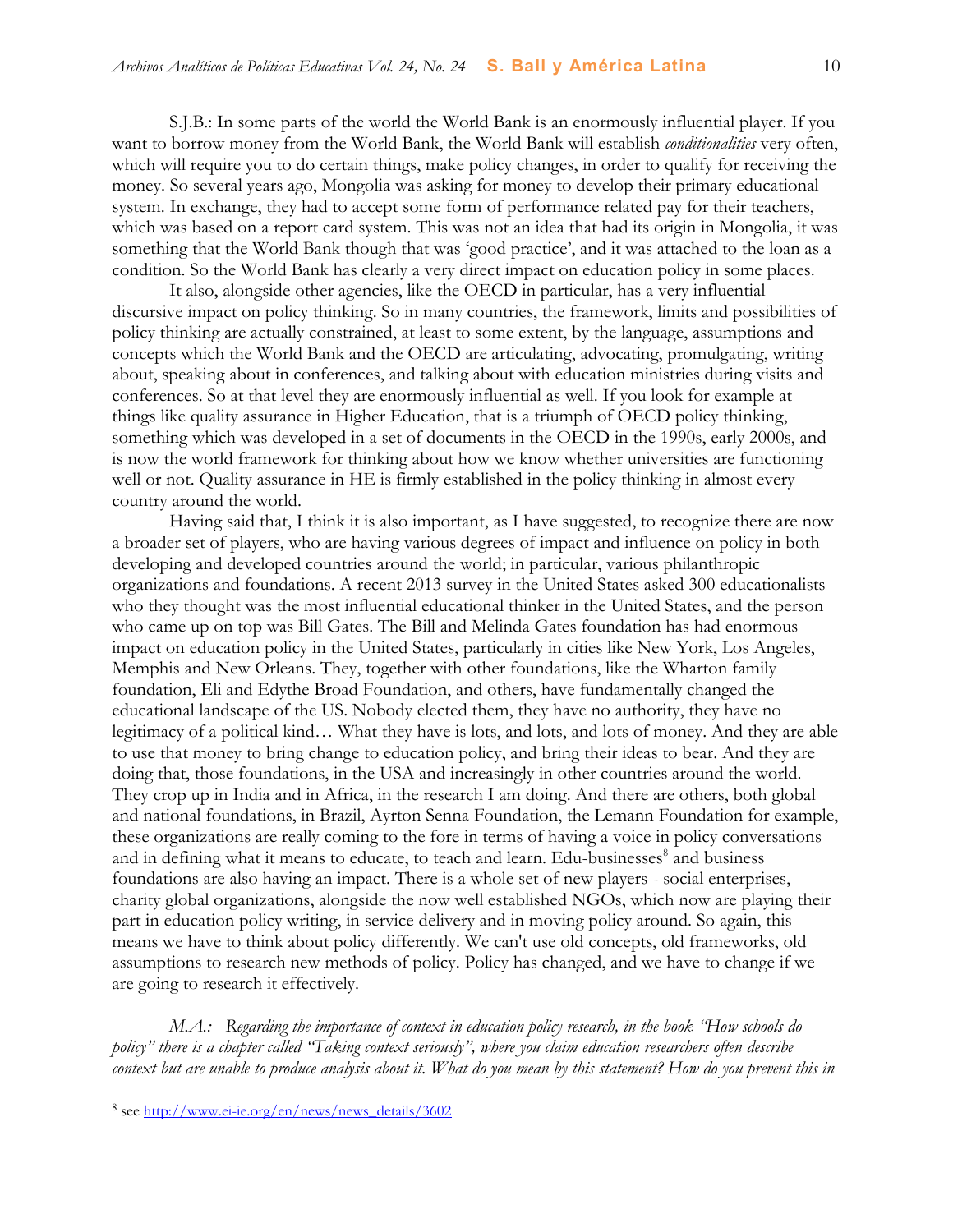S.J.B.: In some parts of the world the World Bank is an enormously influential player. If you want to borrow money from the World Bank, the World Bank will establish *conditionalities* very often, which will require you to do certain things, make policy changes, in order to qualify for receiving the money. So several years ago, Mongolia was asking for money to develop their primary educational system. In exchange, they had to accept some form of performance related pay for their teachers, which was based on a report card system. This was not an idea that had its origin in Mongolia, it was something that the World Bank though that was 'good practice', and it was attached to the loan as a condition. So the World Bank has clearly a very direct impact on education policy in some places.

It also, alongside other agencies, like the OECD in particular, has a very influential discursive impact on policy thinking. So in many countries, the framework, limits and possibilities of policy thinking are actually constrained, at least to some extent, by the language, assumptions and concepts which the World Bank and the OECD are articulating, advocating, promulgating, writing about, speaking about in conferences, and talking about with education ministries during visits and conferences. So at that level they are enormously influential as well. If you look for example at things like quality assurance in Higher Education, that is a triumph of OECD policy thinking, something which was developed in a set of documents in the OECD in the 1990s, early 2000s, and is now the world framework for thinking about how we know whether universities are functioning well or not. Quality assurance in HE is firmly established in the policy thinking in almost every country around the world.

Having said that, I think it is also important, as I have suggested, to recognize there are now a broader set of players, who are having various degrees of impact and influence on policy in both developing and developed countries around the world; in particular, various philanthropic organizations and foundations. A recent 2013 survey in the United States asked 300 educationalists who they thought was the most influential educational thinker in the United States, and the person who came up on top was Bill Gates. The Bill and Melinda Gates foundation has had enormous impact on education policy in the United States, particularly in cities like New York, Los Angeles, Memphis and New Orleans. They, together with other foundations, like the Wharton family foundation, Eli and Edythe Broad Foundation, and others, have fundamentally changed the educational landscape of the US. Nobody elected them, they have no authority, they have no legitimacy of a political kind… What they have is lots, and lots, and lots of money. And they are able to use that money to bring change to education policy, and bring their ideas to bear. And they are doing that, those foundations, in the USA and increasingly in other countries around the world. They crop up in India and in Africa, in the research I am doing. And there are others, both global and national foundations, in Brazil, Ayrton Senna Foundation, the Lemann Foundation for example, these organizations are really coming to the fore in terms of having a voice in policy conversations and in defining what it means to educate, to teach and learn. Edu-businesses<sup>8</sup> and business foundations are also having an impact. There is a whole set of new players - social enterprises, charity global organizations, alongside the now well established NGOs, which now are playing their part in education policy writing, in service delivery and in moving policy around. So again, this means we have to think about policy differently. We can't use old concepts, old frameworks, old assumptions to research new methods of policy. Policy has changed, and we have to change if we are going to research it effectively.

*M.A.: Regarding the importance of context in education policy research, in the book "How schools do policy" there is a chapter called "Taking context seriously", where you claim education researchers often describe context but are unable to produce analysis about it. What do you mean by this statement? How do you prevent this in* 

<sup>&</sup>lt;sup>8</sup> see [http://www.ei-ie.org/en/news/news\\_details/3602](http://www.ei-ie.org/en/news/news_details/3602)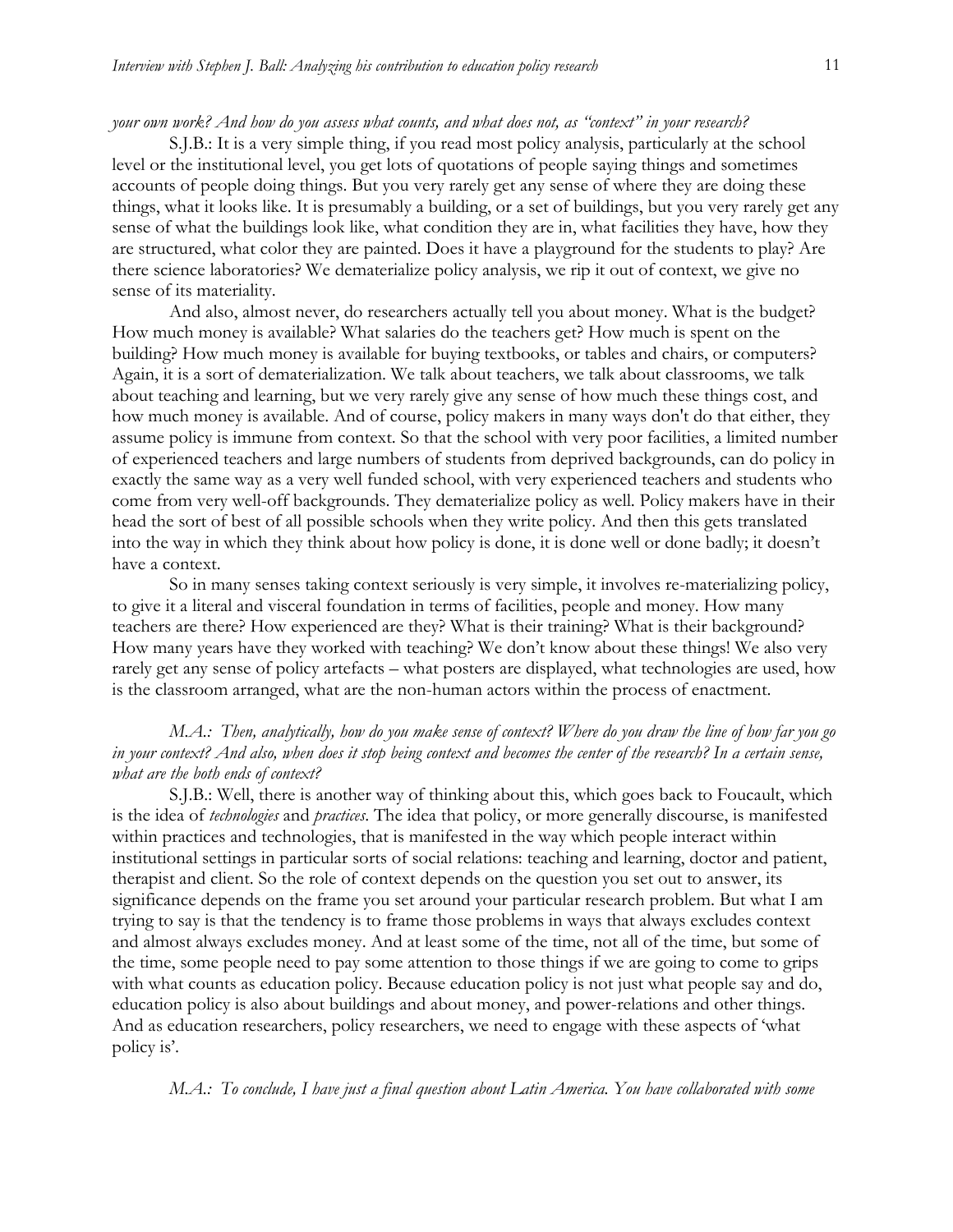#### *your own work? And how do you assess what counts, and what does not, as "context" in your research?*

S.J.B.: It is a very simple thing, if you read most policy analysis, particularly at the school level or the institutional level, you get lots of quotations of people saying things and sometimes accounts of people doing things. But you very rarely get any sense of where they are doing these things, what it looks like. It is presumably a building, or a set of buildings, but you very rarely get any sense of what the buildings look like, what condition they are in, what facilities they have, how they are structured, what color they are painted. Does it have a playground for the students to play? Are there science laboratories? We dematerialize policy analysis, we rip it out of context, we give no sense of its materiality.

And also, almost never, do researchers actually tell you about money. What is the budget? How much money is available? What salaries do the teachers get? How much is spent on the building? How much money is available for buying textbooks, or tables and chairs, or computers? Again, it is a sort of dematerialization. We talk about teachers, we talk about classrooms, we talk about teaching and learning, but we very rarely give any sense of how much these things cost, and how much money is available. And of course, policy makers in many ways don't do that either, they assume policy is immune from context. So that the school with very poor facilities, a limited number of experienced teachers and large numbers of students from deprived backgrounds, can do policy in exactly the same way as a very well funded school, with very experienced teachers and students who come from very well-off backgrounds. They dematerialize policy as well. Policy makers have in their head the sort of best of all possible schools when they write policy. And then this gets translated into the way in which they think about how policy is done, it is done well or done badly; it doesn't have a context.

So in many senses taking context seriously is very simple, it involves re-materializing policy, to give it a literal and visceral foundation in terms of facilities, people and money. How many teachers are there? How experienced are they? What is their training? What is their background? How many years have they worked with teaching? We don't know about these things! We also very rarely get any sense of policy artefacts – what posters are displayed, what technologies are used, how is the classroom arranged, what are the non-human actors within the process of enactment.

#### *M.A.: Then, analytically, how do you make sense of context? Where do you draw the line of how far you go in your context? And also, when does it stop being context and becomes the center of the research? In a certain sense, what are the both ends of context?*

S.J.B.: Well, there is another way of thinking about this, which goes back to Foucault, which is the idea of *technologies* and *practices*. The idea that policy, or more generally discourse, is manifested within practices and technologies, that is manifested in the way which people interact within institutional settings in particular sorts of social relations: teaching and learning, doctor and patient, therapist and client. So the role of context depends on the question you set out to answer, its significance depends on the frame you set around your particular research problem. But what I am trying to say is that the tendency is to frame those problems in ways that always excludes context and almost always excludes money. And at least some of the time, not all of the time, but some of the time, some people need to pay some attention to those things if we are going to come to grips with what counts as education policy. Because education policy is not just what people say and do, education policy is also about buildings and about money, and power-relations and other things. And as education researchers, policy researchers, we need to engage with these aspects of 'what policy is'.

*M.A.: To conclude, I have just a final question about Latin America. You have collaborated with some*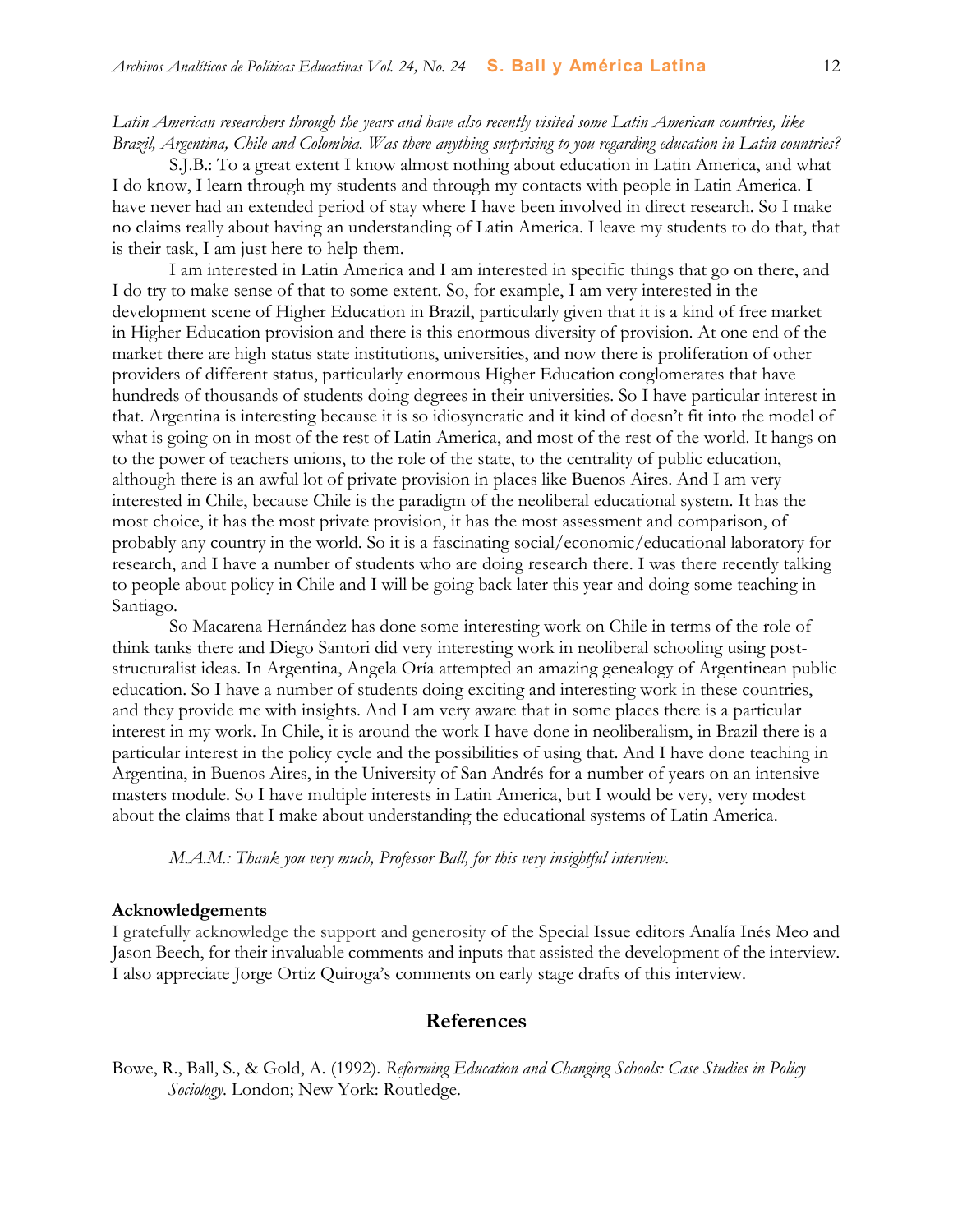#### *Latin American researchers through the years and have also recently visited some Latin American countries, like Brazil, Argentina, Chile and Colombia. Was there anything surprising to you regarding education in Latin countries?*

S.J.B.: To a great extent I know almost nothing about education in Latin America, and what I do know, I learn through my students and through my contacts with people in Latin America. I have never had an extended period of stay where I have been involved in direct research. So I make no claims really about having an understanding of Latin America. I leave my students to do that, that is their task, I am just here to help them.

I am interested in Latin America and I am interested in specific things that go on there, and I do try to make sense of that to some extent. So, for example, I am very interested in the development scene of Higher Education in Brazil, particularly given that it is a kind of free market in Higher Education provision and there is this enormous diversity of provision. At one end of the market there are high status state institutions, universities, and now there is proliferation of other providers of different status, particularly enormous Higher Education conglomerates that have hundreds of thousands of students doing degrees in their universities. So I have particular interest in that. Argentina is interesting because it is so idiosyncratic and it kind of doesn't fit into the model of what is going on in most of the rest of Latin America, and most of the rest of the world. It hangs on to the power of teachers unions, to the role of the state, to the centrality of public education, although there is an awful lot of private provision in places like Buenos Aires. And I am very interested in Chile, because Chile is the paradigm of the neoliberal educational system. It has the most choice, it has the most private provision, it has the most assessment and comparison, of probably any country in the world. So it is a fascinating social/economic/educational laboratory for research, and I have a number of students who are doing research there. I was there recently talking to people about policy in Chile and I will be going back later this year and doing some teaching in Santiago.

So Macarena Hernández has done some interesting work on Chile in terms of the role of think tanks there and Diego Santori did very interesting work in neoliberal schooling using poststructuralist ideas. In Argentina, Angela Oría attempted an amazing genealogy of Argentinean public education. So I have a number of students doing exciting and interesting work in these countries, and they provide me with insights. And I am very aware that in some places there is a particular interest in my work. In Chile, it is around the work I have done in neoliberalism, in Brazil there is a particular interest in the policy cycle and the possibilities of using that. And I have done teaching in Argentina, in Buenos Aires, in the University of San Andrés for a number of years on an intensive masters module. So I have multiple interests in Latin America, but I would be very, very modest about the claims that I make about understanding the educational systems of Latin America.

*M.A.M.: Thank you very much, Professor Ball, for this very insightful interview.*

#### **Acknowledgements**

I gratefully acknowledge the support and generosity of the Special Issue editors Analía Inés Meo and Jason Beech, for their invaluable comments and inputs that assisted the development of the interview. I also appreciate Jorge Ortiz Quiroga's comments on early stage drafts of this interview.

## **References**

Bowe, R., Ball, S., & Gold, A. (1992). *Reforming Education and Changing Schools: Case Studies in Policy Sociology*. London; New York: Routledge.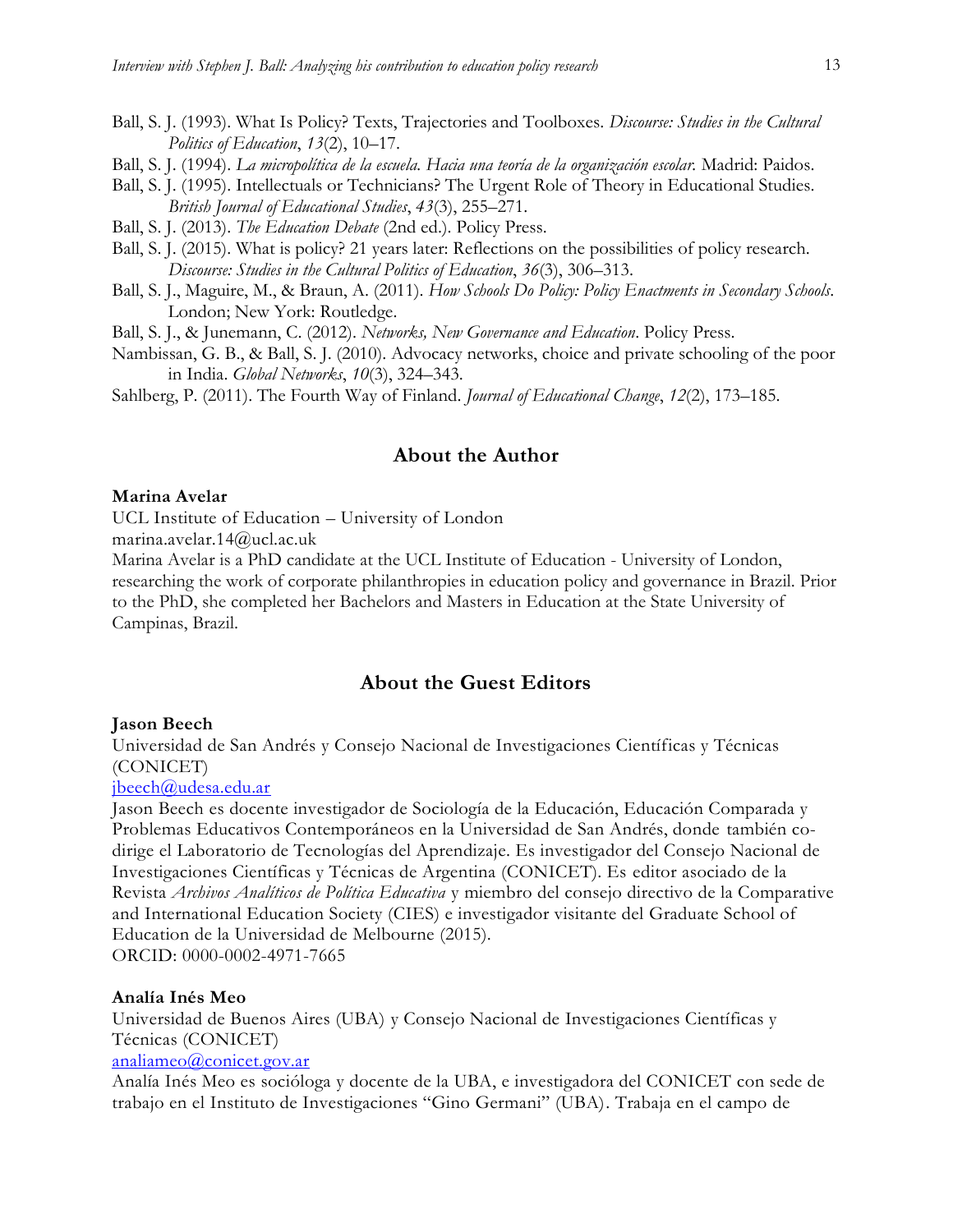- Ball, S. J. (1993). What Is Policy? Texts, Trajectories and Toolboxes. *Discourse: Studies in the Cultural Politics of Education*, *13*(2), 10–17.
- Ball, S. J. (1994). *La micropolítica de la escuela. Hacia una teoría de la organización escolar.* Madrid: Paidos.
- Ball, S. J. (1995). Intellectuals or Technicians? The Urgent Role of Theory in Educational Studies. *British Journal of Educational Studies*, *43*(3), 255–271.
- Ball, S. J. (2013). *The Education Debate* (2nd ed.). Policy Press.
- Ball, S. J. (2015). What is policy? 21 years later: Reflections on the possibilities of policy research. *Discourse: Studies in the Cultural Politics of Education*, *36*(3), 306–313.
- Ball, S. J., Maguire, M., & Braun, A. (2011). *How Schools Do Policy: Policy Enactments in Secondary Schools*. London; New York: Routledge.

Ball, S. J., & Junemann, C. (2012). *Networks, New Governance and Education*. Policy Press.

- Nambissan, G. B., & Ball, S. J. (2010). Advocacy networks, choice and private schooling of the poor in India. *Global Networks*, *10*(3), 324–343.
- Sahlberg, P. (2011). The Fourth Way of Finland. *Journal of Educational Change*, *12*(2), 173–185.

#### **About the Author**

#### **Marina Avelar**

UCL Institute of Education – University of London

marina.avelar.14@ucl.ac.uk

Marina Avelar is a PhD candidate at the UCL Institute of Education - University of London, researching the work of corporate philanthropies in education policy and governance in Brazil. Prior to the PhD, she completed her Bachelors and Masters in Education at the State University of Campinas, Brazil.

#### **About the Guest Editors**

#### **Jason Beech**

Universidad de San Andrés y Consejo Nacional de Investigaciones Científicas y Técnicas (CONICET)

## [jbeech@udesa.edu.ar](mailto:jbeech@udesa.edu.ar)

Jason Beech es docente investigador de Sociología de la Educación, Educación Comparada y Problemas Educativos Contemporáneos en la Universidad de San Andrés, donde también codirige el Laboratorio de Tecnologías del Aprendizaje. Es investigador del Consejo Nacional de Investigaciones Científicas y Técnicas de Argentina (CONICET). Es editor asociado de la Revista *Archivos Analíticos de Política Educativa* y miembro del consejo directivo de la Comparative and International Education Society (CIES) e investigador visitante del Graduate School of Education de la Universidad de Melbourne (2015). ORCID: 0000-0002-4971-7665

#### **Analía Inés Meo**

Universidad de Buenos Aires (UBA) y Consejo Nacional de Investigaciones Científicas y Técnicas (CONICET)

#### [analiameo@conicet.gov.ar](mailto:analiameo@conicet.gov.ar)

Analía Inés Meo es socióloga y docente de la UBA, e investigadora del CONICET con sede de trabajo en el Instituto de Investigaciones "Gino Germani" (UBA). Trabaja en el campo de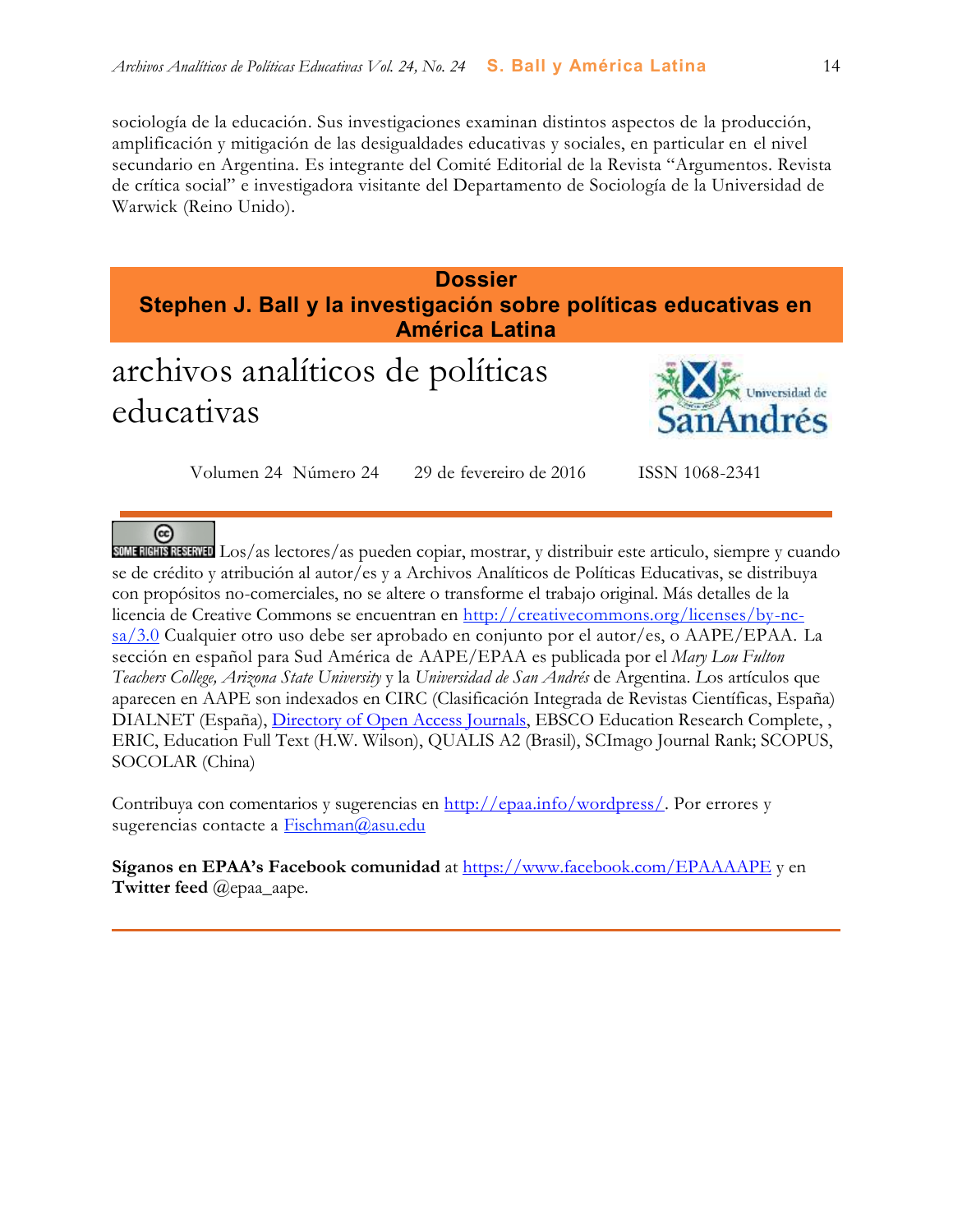sociología de la educación. Sus investigaciones examinan distintos aspectos de la producción, amplificación y mitigación de las desigualdades educativas y sociales, en particular en el nivel secundario en Argentina. Es integrante del Comité Editorial de la Revista "Argumentos. Revista de crítica social" e investigadora visitante del Departamento de Sociología de la Universidad de Warwick (Reino Unido).

**Dossier Stephen J. Ball y la investigación sobre políticas educativas en América Latina**

# archivos analíticos de políticas educativas



Volumen 24 Número 24 29 de fevereiro de 2016 ISSN 1068-2341

 $\left($ SUME RIGHTS RESERVED Los/as lectores/as pueden copiar, mostrar, y distribuir este articulo, siempre y cuando se de crédito y atribución al autor/es y a Archivos Analíticos de Políticas Educativas, se distribuya con propósitos no-comerciales, no se altere o transforme el trabajo original. Más detalles de la licencia de Creative Commons se encuentran en http://creativecommons.org/licenses/by-ncsa/3.0 Cualquier otro uso debe ser aprobado en conjunto por el autor/es, o AAPE/EPAA. La sección en español para Sud América de AAPE/EPAA es publicada por el *Mary Lou Fulton Teachers College, Arizona State University* y la *Universidad de San Andrés* de Argentina. *L*os artículos que aparecen en AAPE son indexados en CIRC (Clasificación Integrada de Revistas Científicas, España) DIALNET (España), [Directory of Open Access Journals,](http://www.doaj.org/) EBSCO Education Research Complete, , ERIC, Education Full Text (H.W. Wilson), QUALIS A2 (Brasil), SCImago Journal Rank; SCOPUS, SOCOLAR (China)

Contribuya con comentarios y sugerencias en [http://epaa.info/wordpress/.](http://epaa.info/wordpress/) Por errores y sugerencias contacte a **Fischman@asu.edu** 

**Síganos en EPAA's Facebook comunidad** at<https://www.facebook.com/EPAAAAPE> y en **Twitter feed** @epaa\_aape.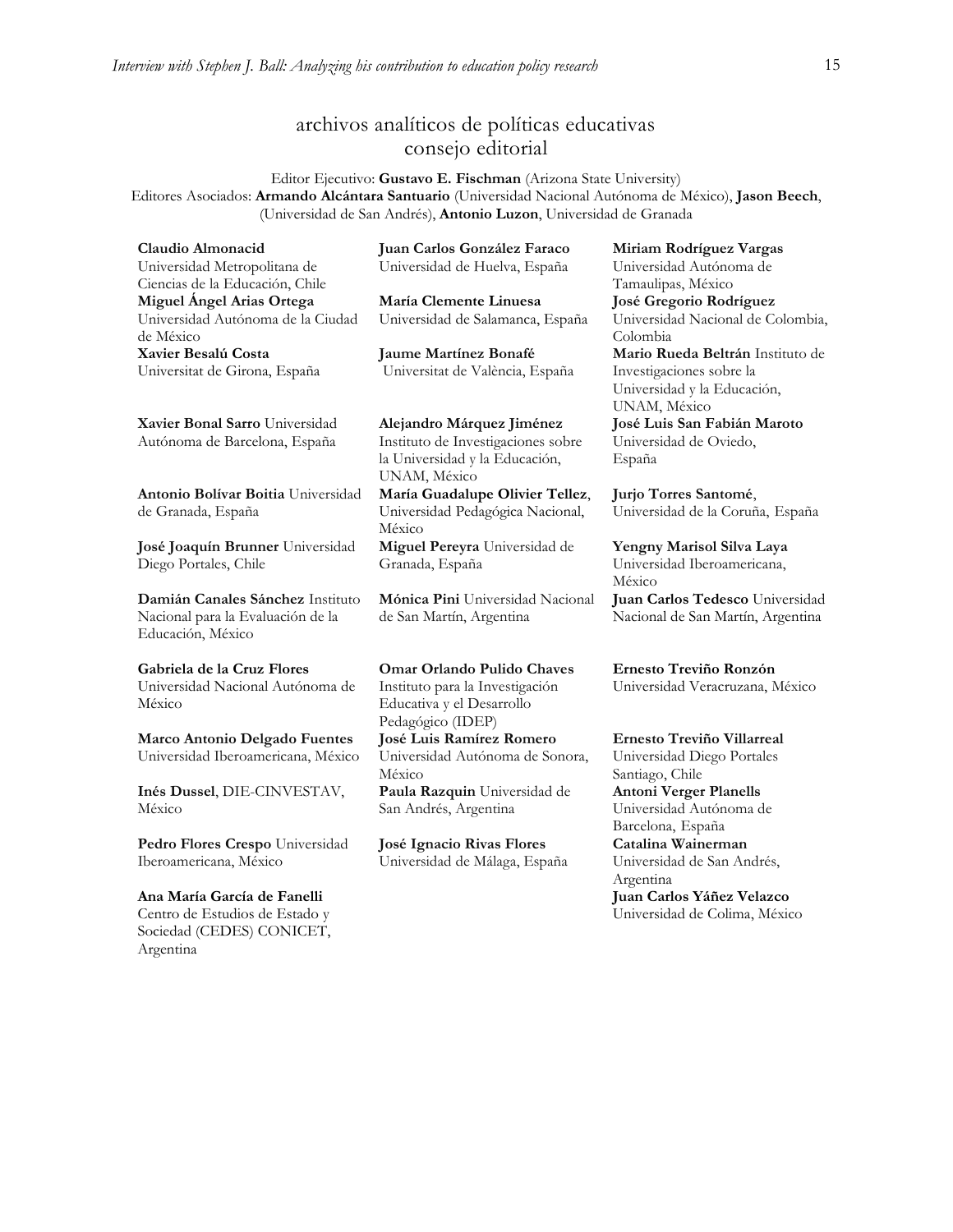# archivos analíticos de políticas educativas consejo editorial

Editor Ejecutivo: **Gustavo E. Fischman** (Arizona State University) Editores Asociados: **Armando Alcántara Santuario** (Universidad Nacional Autónoma de México), **Jason Beech**, (Universidad de San Andrés), **Antonio Luzon**, Universidad de Granada

**Claudio Almonacid** Universidad Metropolitana de Ciencias de la Educación, Chile **Miguel Ángel Arias Ortega**  Universidad Autónoma de la Ciudad de México **Xavier Besalú Costa**  Universitat de Girona, España

**[Xavier Bonal](javascript:openRTWindow() Sarro** Universidad Autónoma de Barcelona, España

**[Antonio Bolívar](javascript:openRTWindow() Boitia** Universidad de Granada, España

**[José Joaquín Brunner](javascript:openRTWindow()** Universidad Diego Portales, Chile

**[Damián Canales Sánchez](javascript:openRTWindow()** Instituto Nacional para la Evaluación de la Educación, México

**Gabriela de la Cruz Flores** Universidad Nacional Autónoma de México

**[Marco Antonio Delgado Fuentes](javascript:openRTWindow()** Universidad Iberoamericana, México

**[Inés Dussel](javascript:openRTWindow()**, DIE-CINVESTAV, México

**[Pedro Flores Crespo](javascript:openRTWindow()** Universidad Iberoamericana, México

**Ana María García de Fanelli**  Centro de Estudios de Estado y Sociedad (CEDES) CONICET, Argentina

**Juan Carlos González Faraco**  Universidad de Huelva, España

**María Clemente Linuesa**  Universidad de Salamanca, España

**Jaume Martínez Bonafé** Universitat de València, España

**Alejandro Márquez Jiménez**  Instituto de Investigaciones sobre la Universidad y la Educación, UNAM, México **María Guadalupe Olivier Tellez**,

Universidad Pedagógica Nacional, México **[Miguel Pereyra](javascript:openRTWindow()** Universidad de Granada, España

**[Mónica Pini](javascript:openRTWindow()** Universidad Nacional de San Martín, Argentina

**Omar Orlando Pulido Chaves** Instituto para la Investigación Educativa y el Desarrollo Pedagógico (IDEP) **[José Luis Ramírez](javascript:openRTWindow() Romero** Universidad Autónoma de Sonora, México **[Paula Razquin](javascript:openRTWindow()** Universidad de San Andrés, Argentina

**José Ignacio Rivas Flores** Universidad de Málaga, España **[Miriam Rodríguez Vargas](javascript:openRTWindow()** Universidad Autónoma de Tamaulipas, México **José Gregorio Rodríguez**  Universidad Nacional de Colombia, Colombia **[Mario Rueda Beltrán](javascript:openRTWindow()** Instituto de Investigaciones sobre la Universidad y la Educación, UNAM, México **José Luis San Fabián Maroto**  Universidad de Oviedo, España

**[Jurjo Torres Santomé](javascript:openRTWindow()**, Universidad de la Coruña, España

**[Yengny Marisol Silva Laya](javascript:openRTWindow()** Universidad Iberoamericana, México

**Juan Carlos Tedesco** Universidad Nacional de San Martín, Argentina

**Ernesto Treviño Ronzón** Universidad Veracruzana, México

**[Ernesto Treviño](javascript:openRTWindow() Villarreal**

Universidad Diego Portales Santiago, Chile **Antoni [Verger Planells](javascript:openRTWindow()** Universidad Autónoma de Barcelona, España **[Catalina Wainerman](javascript:openRTWindow()** Universidad de San Andrés, Argentina **Juan Carlos Yáñez Velazco** Universidad de Colima, México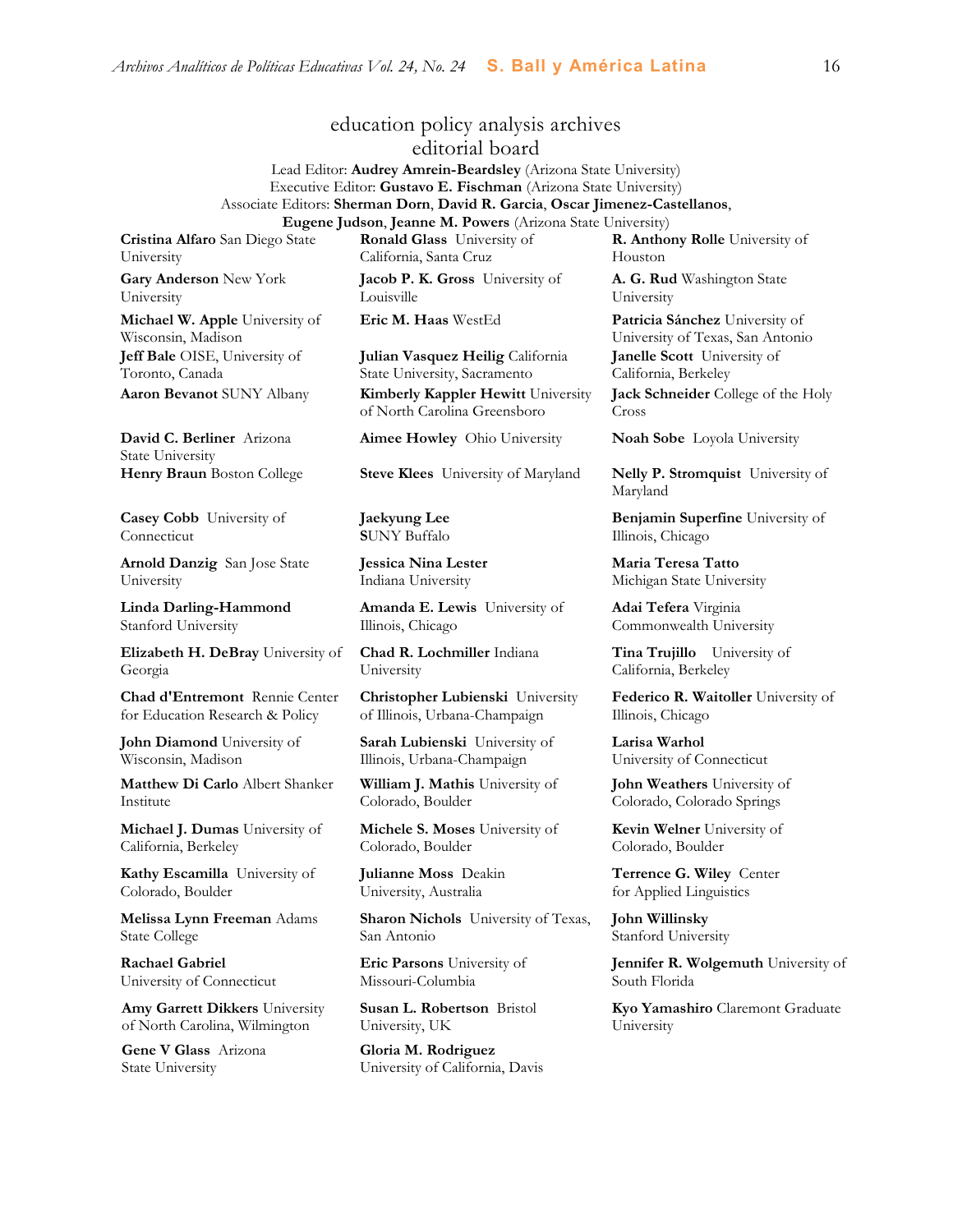# education policy analysis archives

editorial board

Lead Editor: **Audrey Amrein-Beardsley** (Arizona State University) Executive Editor: **Gustavo E. Fischman** (Arizona State University) Associate Editors: **Sherman Dorn**, **David R. Garcia**, **Oscar Jimenez-Castellanos**, **Eugene Judson**, **Jeanne M. Powers** (Arizona State University)

**Cristina Alfaro** San Diego State University

**Gary Anderson** New York University **Michael W. Apple** University of

Wisconsin, Madison **Jeff Bale** OISE, University of Toronto, Canada

**David C. Berliner** Arizona State University

**Casey Cobb** University of Connecticut

**Arnold Danzig** San Jose State University

**Linda Darling-Hammond**  Stanford University

**Elizabeth H. DeBray** University of Georgia

**Chad d'Entremont** Rennie Center for Education Research & Policy

**John Diamond** University of Wisconsin, Madison

**Matthew Di Carlo** Albert Shanker Institute

**Michael J. Dumas** University of California, Berkeley

**Kathy Escamilla** University of Colorado, Boulder

**Melissa Lynn Freeman** Adams State College

**Rachael Gabriel** University of Connecticut

**Amy Garrett Dikkers** University of North Carolina, Wilmington

**Gene V Glass** Arizona State University

**Ronald Glass** University of California, Santa Cruz

**Jacob P. K. Gross** University of Louisville

**Julian Vasquez Heilig** California State University, Sacramento **Aaron Bevanot** SUNY Albany **Kimberly Kappler Hewitt** University of North Carolina Greensboro

**Aimee Howley** Ohio University **Noah Sobe** Loyola University

**Henry Braun** Boston College **Steve Klees** University of Maryland **Nelly P. Stromquist** University of

**Jaekyung Lee S**UNY Buffalo

**Jessica Nina Lester** Indiana University

**Amanda E. Lewis** University of Illinois, Chicago

**Chad R. Lochmiller** Indiana University

**Christopher Lubienski** University of Illinois, Urbana-Champaign

**Sarah Lubienski** University of Illinois, Urbana-Champaign

**William J. Mathis** University of Colorado, Boulder

**Michele S. Moses** University of Colorado, Boulder

**Julianne Moss** Deakin University, Australia

**Sharon Nichols** University of Texas, San Antonio

**Eric Parsons** University of Missouri-Columbia

**Susan L. Robertson** Bristol University, UK

**Gloria M. Rodriguez** University of California, Davis

**R. Anthony Rolle** University of Houston

**A. G. Rud** Washington State University

**Eric M. Haas** WestEd **Patricia Sánchez** University of University of Texas, San Antonio **Janelle Scott** University of California, Berkeley **Jack Schneider** College of the Holy

Cross

Maryland

**Benjamin Superfine** University of Illinois, Chicago

**Maria Teresa Tatto**  Michigan State University

**Adai Tefera** Virginia Commonwealth University

**Tina Trujillo** University of California, Berkeley

**Federico R. Waitoller** University of Illinois, Chicago

**Larisa Warhol** University of Connecticut

**John Weathers** University of Colorado, Colorado Springs

**Kevin Welner** University of Colorado, Boulder

**Terrence G. Wiley** Center for Applied Linguistics

**John Willinsky**  Stanford University

**Jennifer R. Wolgemuth** University of South Florida

**Kyo Yamashiro** Claremont Graduate University